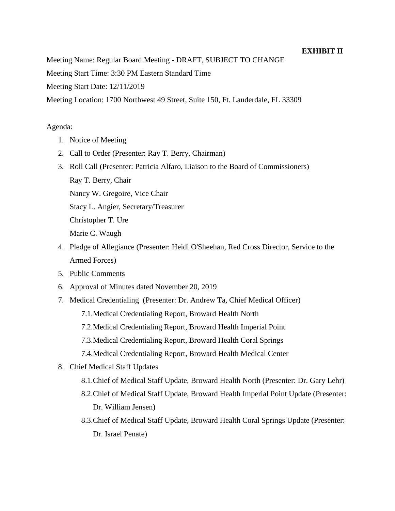## **EXHIBIT II**

Meeting Name: Regular Board Meeting - DRAFT, SUBJECT TO CHANGE

Meeting Start Time: 3:30 PM Eastern Standard Time

Meeting Start Date: 12/11/2019

Meeting Location: 1700 Northwest 49 Street, Suite 150, Ft. Lauderdale, FL 33309

## Agenda:

- 1. Notice of Meeting
- 2. Call to Order (Presenter: Ray T. Berry, Chairman)
- 3. Roll Call (Presenter: Patricia Alfaro, Liaison to the Board of Commissioners) Ray T. Berry, Chair Nancy W. Gregoire, Vice Chair

Stacy L. Angier, Secretary/Treasurer

Christopher T. Ure

Marie C. Waugh

- 4. Pledge of Allegiance (Presenter: Heidi O'Sheehan, Red Cross Director, Service to the Armed Forces)
- 5. Public Comments
- 6. Approval of Minutes dated November 20, 2019
- 7. Medical Credentialing (Presenter: Dr. Andrew Ta, Chief Medical Officer)
	- 7.1.Medical Credentialing Report, Broward Health North
	- 7.2.Medical Credentialing Report, Broward Health Imperial Point
	- 7.3.Medical Credentialing Report, Broward Health Coral Springs
	- 7.4.Medical Credentialing Report, Broward Health Medical Center
- 8. Chief Medical Staff Updates
	- 8.1.Chief of Medical Staff Update, Broward Health North (Presenter: Dr. Gary Lehr)
	- 8.2.Chief of Medical Staff Update, Broward Health Imperial Point Update (Presenter: Dr. William Jensen)
	- 8.3.Chief of Medical Staff Update, Broward Health Coral Springs Update (Presenter: Dr. Israel Penate)